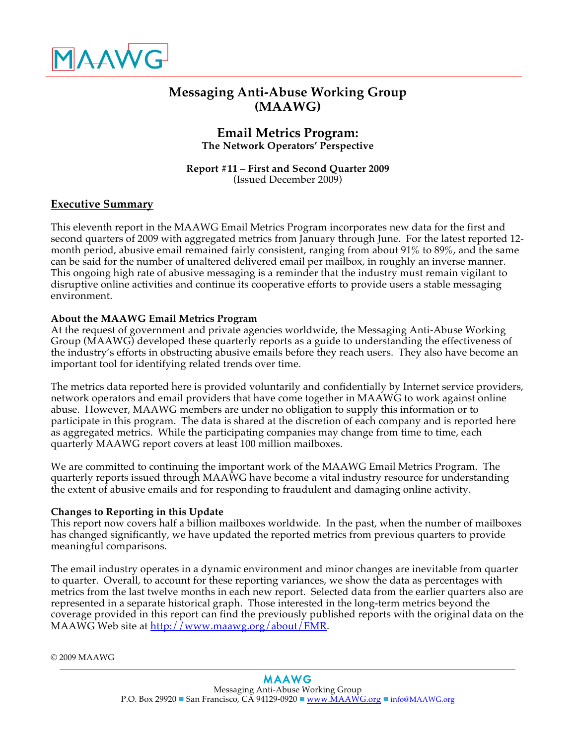

# **Messaging Anti-Abuse Working Group (MAAWG)**

## **Email Metrics Program: The Network Operators' Perspective**

#### **Report #11 – First and Second Quarter 2009** (Issued December 2009)

## **Executive Summary**

This eleventh report in the MAAWG Email Metrics Program incorporates new data for the first and second quarters of 2009 with aggregated metrics from January through June. For the latest reported 12 month period, abusive email remained fairly consistent, ranging from about 91% to 89%, and the same can be said for the number of unaltered delivered email per mailbox, in roughly an inverse manner. This ongoing high rate of abusive messaging is a reminder that the industry must remain vigilant to disruptive online activities and continue its cooperative efforts to provide users a stable messaging environment.

#### **About the MAAWG Email Metrics Program**

At the request of government and private agencies worldwide, the Messaging Anti-Abuse Working Group (MAAWG) developed these quarterly reports as a guide to understanding the effectiveness of the industry's efforts in obstructing abusive emails before they reach users. They also have become an important tool for identifying related trends over time.

The metrics data reported here is provided voluntarily and confidentially by Internet service providers, network operators and email providers that have come together in MAAWG to work against online abuse. However, MAAWG members are under no obligation to supply this information or to participate in this program. The data is shared at the discretion of each company and is reported here as aggregated metrics. While the participating companies may change from time to time, each quarterly MAAWG report covers at least 100 million mailboxes.

We are committed to continuing the important work of the MAAWG Email Metrics Program. The quarterly reports issued through MAAWG have become a vital industry resource for understanding the extent of abusive emails and for responding to fraudulent and damaging online activity.

#### **Changes to Reporting in this Update**

This report now covers half a billion mailboxes worldwide. In the past, when the number of mailboxes has changed significantly, we have updated the reported metrics from previous quarters to provide meaningful comparisons.

The email industry operates in a dynamic environment and minor changes are inevitable from quarter to quarter. Overall, to account for these reporting variances, we show the data as percentages with metrics from the last twelve months in each new report. Selected data from the earlier quarters also are represented in a separate historical graph. Those interested in the long-term metrics beyond the coverage provided in this report can find the previously published reports with the original data on the MAAWG Web site at http://www.maawg.org/about/EMR.

© 2009 MAAWG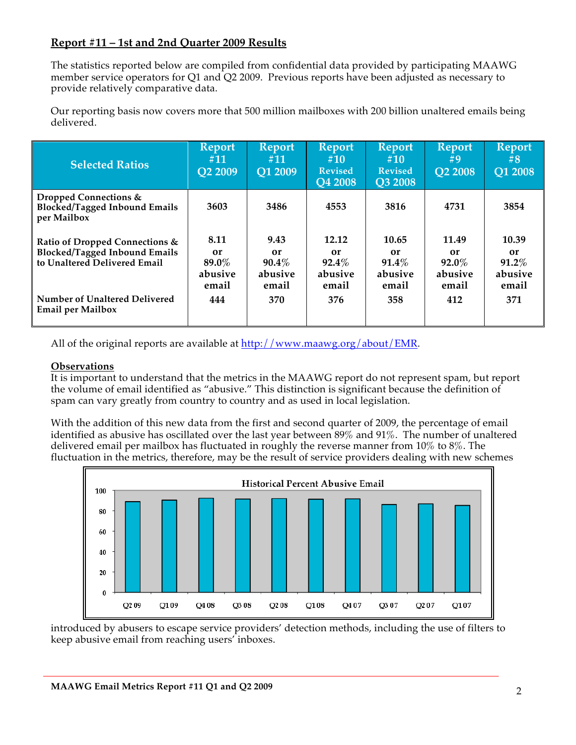## **Report #11 – 1st and 2nd Quarter 2009 Results**

The statistics reported below are compiled from confidential data provided by participating MAAWG member service operators for Q1 and Q2 2009. Previous reports have been adjusted as necessary to provide relatively comparative data.

Our reporting basis now covers more that 500 million mailboxes with 200 billion unaltered emails being delivered.

| <b>Selected Ratios</b>                                                                                 | <b>Report</b><br>#11<br><b>O2 2009</b>  | <b>Report</b><br>#11<br>O1 2009            | <b>Report</b><br>#10<br><b>Revised</b><br><b>Q4 2008</b> | <b>Report</b><br>#10<br><b>Revised</b><br><b>O3 2008</b> | <b>Report</b><br>$\#9$<br><b>O2 2008</b>    | <b>Report</b><br>#8<br><b>Q1 2008</b>       |
|--------------------------------------------------------------------------------------------------------|-----------------------------------------|--------------------------------------------|----------------------------------------------------------|----------------------------------------------------------|---------------------------------------------|---------------------------------------------|
| Dropped Connections &<br><b>Blocked/Tagged Inbound Emails</b><br>per Mailbox                           | 3603                                    | 3486                                       | 4553                                                     | 3816                                                     | 4731                                        | 3854                                        |
| Ratio of Dropped Connections &<br><b>Blocked/Tagged Inbound Emails</b><br>to Unaltered Delivered Email | 8.11<br>or<br>89.0%<br>abusive<br>email | 9.43<br>or<br>$90.4\%$<br>abusive<br>email | 12.12<br>or<br>$92.4\%$<br>abusive<br>email              | 10.65<br>or<br>$91.4\%$<br>abusive<br>email              | 11.49<br>or<br>$92.0\%$<br>abusive<br>email | 10.39<br>or<br>$91.2\%$<br>abusive<br>email |
| Number of Unaltered Delivered<br><b>Email per Mailbox</b>                                              | 444                                     | 370                                        | 376                                                      | 358                                                      | 412                                         | 371                                         |

All of the original reports are available at  $\frac{http://www.maxwg.org/about/EMR.}{}$ 

## **Observations**

It is important to understand that the metrics in the MAAWG report do not represent spam, but report the volume of email identified as "abusive." This distinction is significant because the definition of spam can vary greatly from country to country and as used in local legislation.

With the addition of this new data from the first and second quarter of 2009, the percentage of email identified as abusive has oscillated over the last year between 89% and 91%. The number of unaltered delivered email per mailbox has fluctuated in roughly the reverse manner from 10% to 8%. The fluctuation in the metrics, therefore, may be the result of service providers dealing with new schemes



introduced by abusers to escape service providers' detection methods, including the use of filters to keep abusive email from reaching users' inboxes.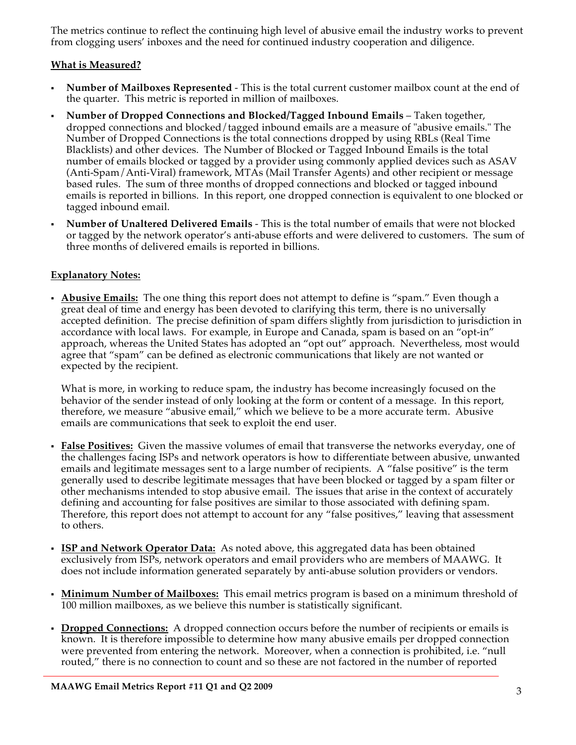The metrics continue to reflect the continuing high level of abusive email the industry works to prevent from clogging users' inboxes and the need for continued industry cooperation and diligence.

## **What is Measured?**

- **Number of Mailboxes Represented** This is the total current customer mailbox count at the end of the quarter. This metric is reported in million of mailboxes.
- **Number of Dropped Connections and Blocked/Tagged Inbound Emails** Taken together, dropped connections and blocked/tagged inbound emails are a measure of "abusive emails." The Number of Dropped Connections is the total connections dropped by using RBLs (Real Time Blacklists) and other devices. The Number of Blocked or Tagged Inbound Emails is the total number of emails blocked or tagged by a provider using commonly applied devices such as ASAV (Anti-Spam/Anti-Viral) framework, MTAs (Mail Transfer Agents) and other recipient or message based rules. The sum of three months of dropped connections and blocked or tagged inbound emails is reported in billions. In this report, one dropped connection is equivalent to one blocked or tagged inbound email.
- **Number of Unaltered Delivered Emails** This is the total number of emails that were not blocked or tagged by the network operator's anti-abuse efforts and were delivered to customers. The sum of three months of delivered emails is reported in billions.

#### **Explanatory Notes:**

 **Abusive Emails:** The one thing this report does not attempt to define is "spam." Even though a great deal of time and energy has been devoted to clarifying this term, there is no universally accepted definition. The precise definition of spam differs slightly from jurisdiction to jurisdiction in accordance with local laws. For example, in Europe and Canada, spam is based on an "opt-in" approach, whereas the United States has adopted an "opt out" approach. Nevertheless, most would agree that "spam" can be defined as electronic communications that likely are not wanted or expected by the recipient.

What is more, in working to reduce spam, the industry has become increasingly focused on the behavior of the sender instead of only looking at the form or content of a message. In this report, therefore, we measure "abusive email," which we believe to be a more accurate term. Abusive emails are communications that seek to exploit the end user.

- **False Positives:** Given the massive volumes of email that transverse the networks everyday, one of the challenges facing ISPs and network operators is how to differentiate between abusive, unwanted emails and legitimate messages sent to a large number of recipients. A "false positive" is the term generally used to describe legitimate messages that have been blocked or tagged by a spam filter or other mechanisms intended to stop abusive email. The issues that arise in the context of accurately defining and accounting for false positives are similar to those associated with defining spam. Therefore, this report does not attempt to account for any "false positives," leaving that assessment to others.
- **ISP and Network Operator Data:** As noted above, this aggregated data has been obtained exclusively from ISPs, network operators and email providers who are members of MAAWG. It does not include information generated separately by anti-abuse solution providers or vendors.
- **Minimum Number of Mailboxes:** This email metrics program is based on a minimum threshold of 100 million mailboxes, as we believe this number is statistically significant.
- **Dropped Connections:** A dropped connection occurs before the number of recipients or emails is known. It is therefore impossible to determine how many abusive emails per dropped connection were prevented from entering the network. Moreover, when a connection is prohibited, i.e. "null routed," there is no connection to count and so these are not factored in the number of reported